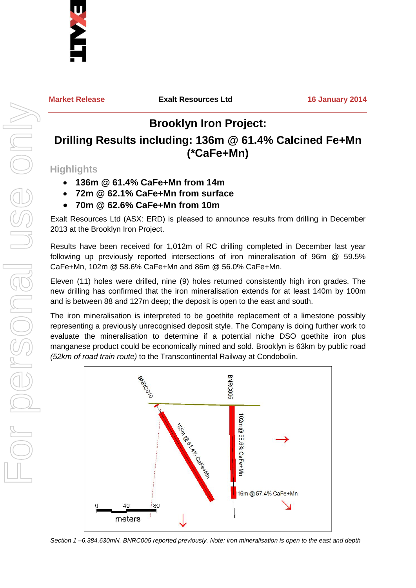

**Market Release Exalt Resources Ltd 16 January 2014**

## **Brooklyn Iron Project:**

## **Drilling Results including: 136m @ 61.4% Calcined Fe+Mn (\*CaFe+Mn)**

**Highlights**

- **136m @ 61.4% CaFe+Mn from 14m**
- **72m @ 62.1% CaFe+Mn from surface**
- **70m @ 62.6% CaFe+Mn from 10m**

Exalt Resources Ltd (ASX: ERD) is pleased to announce results from drilling in December 2013 at the Brooklyn Iron Project.

Results have been received for 1,012m of RC drilling completed in December last year following up previously reported intersections of iron mineralisation of 96m @ 59.5% CaFe+Mn, 102m @ 58.6% CaFe+Mn and 86m @ 56.0% CaFe+Mn.

Eleven (11) holes were drilled, nine (9) holes returned consistently high iron grades. The new drilling has confirmed that the iron mineralisation extends for at least 140m by 100m and is between 88 and 127m deep; the deposit is open to the east and south.

The iron mineralisation is interpreted to be goethite replacement of a limestone possibly representing a previously unrecognised deposit style. The Company is doing further work to evaluate the mineralisation to determine if a potential niche DSO goethite iron plus manganese product could be economically mined and sold. Brooklyn is 63km by public road *(52km of road train route)* to the Transcontinental Railway at Condobolin.



*Section 1 –6,384,630mN. BNRC005 reported previously. Note: iron mineralisation is open to the east and depth*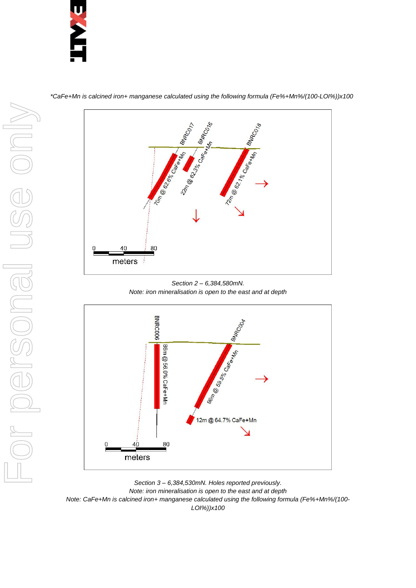



*\*CaFe+Mn is calcined iron+ manganese calculated using the following formula (Fe%+Mn%/(100-LOI%))x100*

*Section 2 – 6,384,580mN. Note: iron mineralisation is open to the east and at depth*



*Section 3 – 6,384,530mN. Holes reported previously. Note: iron mineralisation is open to the east and at depth Note: CaFe+Mn is calcined iron+ manganese calculated using the following formula (Fe%+Mn%/(100- LOI%))x100*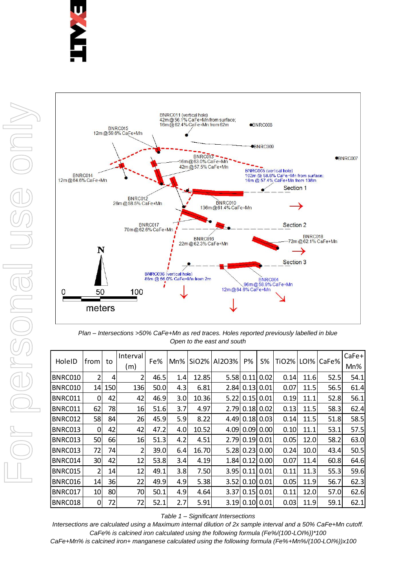



*Plan – Intersections >50% CaFe+Mn as red traces. Holes reported previously labelled in blue Open to the east and south*

| HoleID                                                                                                         | from                                                                               | to         | Interval | Fe%   | Mn%              |       | SiO2% Al2O3%      | P%   | $S\%$          |      |      | TiO2%   LOI%   CaFe% | CaFe+ |
|----------------------------------------------------------------------------------------------------------------|------------------------------------------------------------------------------------|------------|----------|-------|------------------|-------|-------------------|------|----------------|------|------|----------------------|-------|
|                                                                                                                |                                                                                    |            | (m)      |       |                  |       |                   |      |                |      |      |                      | Mn%   |
| BNRC010                                                                                                        | 2                                                                                  | 4          | 2        | 46.5  | 1.4              | 12.85 | 5.58              | 0.11 | 0.02           | 0.14 | 11.6 | 52.5                 | 54.1  |
| BNRC010                                                                                                        | 14                                                                                 | <b>150</b> | 136      | 50.0l | 4.3 <sub>l</sub> | 6.81  | 2.841             | 0.13 | 0.01           | 0.07 | 11.5 | 56.5                 | 61.4  |
| BNRC011                                                                                                        | 0                                                                                  | 42         | 42       | 46.9  | 3.0              | 10.36 | 5.22              | 0.15 | 0.01           | 0.19 | 11.1 | 52.8                 | 56.1  |
| BNRC011                                                                                                        | 62                                                                                 | 78         | 16       | 51.6  | 3.7              | 4.97  | 2.79              |      | $0.18$ 0.02    | 0.13 | 11.5 | 58.3                 | 62.4  |
| BNRC012                                                                                                        | 58                                                                                 | 84         | 26       | 45.9  | 5.9              | 8.22  | 4.49              | 0.18 | 0.03           | 0.14 | 11.5 | 51.8                 | 58.5  |
| BNRC013                                                                                                        | 0                                                                                  | 42         | 42       | 47.2  | 4.0              | 10.52 | 4.09              | 0.09 | 0.00           | 0.10 | 11.1 | 53.1                 | 57.5  |
| BNRC013                                                                                                        | 50                                                                                 | 66         | 16       | 51.3  | 4.2              | 4.51  | 2.79              | 0.19 | 0.01           | 0.05 | 12.0 | 58.2                 | 63.0  |
| BNRC013                                                                                                        | 72                                                                                 | 74         | 2        | 39.0  | 6.4              | 16.70 | 5.28              | 0.23 | 0.00           | 0.24 | 10.0 | 43.4                 | 50.5  |
| BNRC014                                                                                                        | 30                                                                                 | 42         | 12       | 53.8  | 3.4              | 4.19  | 1.841             | 0.12 | 0.00           | 0.07 | 11.4 | 60.8                 | 64.6  |
| BNRC015                                                                                                        | 2                                                                                  | 14         | 12       | 49.1  | 3.8              | 7.50  | 3.95              | 0.11 | 0.01           | 0.11 | 11.3 | 55.3                 | 59.6  |
| BNRC016                                                                                                        | 14                                                                                 | 36         | 22       | 49.9  | 4.9              | 5.38  | 3.52 <sub>1</sub> | 0.10 | 0.01           | 0.05 | 11.9 | 56.7                 | 62.3  |
| BNRC017                                                                                                        | 10                                                                                 | 80         | 70       | 50.1  | 4.9              | 4.64  | 3.37              | 0.15 | 0.01           | 0.11 | 12.0 | 57.0                 | 62.6  |
| BNRC018                                                                                                        | 0                                                                                  | 72         | 72       | 52.1  | 2.7              | 5.91  |                   |      | 3.19 0.10 0.01 | 0.03 | 11.9 | 59.1                 | 62.1  |
| Table 1 - Significant Intersections                                                                            |                                                                                    |            |          |       |                  |       |                   |      |                |      |      |                      |       |
| Intersections are calculated using a Maximum internal dilution of 2x sample interval and a 50% CaFe+Mn cutoff. |                                                                                    |            |          |       |                  |       |                   |      |                |      |      |                      |       |
|                                                                                                                | CaFe% is calcined iron calculated using the following formula (Fe%/(100-LOI%))*100 |            |          |       |                  |       |                   |      |                |      |      |                      |       |
| CaFe+Mn% is calcined iron+ manganese calculated using the following formula (Fe%+Mn%/(100-LOI%))x100           |                                                                                    |            |          |       |                  |       |                   |      |                |      |      |                      |       |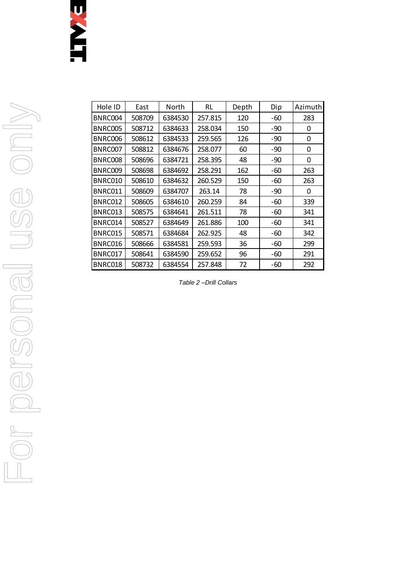## U<br>S<br>C<br>L<br>I

|                           | East             |                    | RL                 |           |                |                  |
|---------------------------|------------------|--------------------|--------------------|-----------|----------------|------------------|
| Hole ID                   |                  | North              |                    | Depth     | Dip            | Azimu            |
| BNRC004                   | 508709           | 6384530            | 257.815            | 120       | $-60$          | 283              |
| <b>BNRC005</b>            | 508712           | 6384633            | 258.034            | 150       | $-90$          | $\pmb{0}$        |
| BNRC006<br>BNRC007        | 508612<br>508812 | 6384533<br>6384676 | 259.565            | 126       | $-90$<br>$-90$ | 0                |
|                           |                  |                    | 258.077            | 60        |                | $\pmb{0}$        |
| BNRC008<br>BNRC009        | 508696<br>508698 | 6384721            | 258.395            | 48<br>162 | $-90$<br>$-60$ | $\pmb{0}$<br>263 |
| <b>BNRC010</b>            |                  | 6384692<br>6384632 | 258.291            | 150       | $-60$          |                  |
| BNRC011                   | 508610<br>508609 | 6384707            | 260.529<br>263.14  | 78        | $-90$          | 263<br>$\pmb{0}$ |
|                           |                  |                    |                    | 84        | $-60$          |                  |
| BNRC012                   | 508605           | 6384610            | 260.259            |           |                | 339              |
| BNRC013                   | 508575           | 6384641            | 261.511            | 78        | $-60$          | 341              |
| BNRC014<br><b>BNRC015</b> | 508527<br>508571 | 6384649            | 261.886            | 100<br>48 | $-60$          | 341              |
|                           |                  | 6384684            | 262.925            |           | $-60$          | 342              |
| BNRC016                   | 508666           | 6384581            | 259.593            | 36        | $-60$          | 299              |
| BNRC017<br>BNRC018        | 508641<br>508732 | 6384590<br>6384554 | 259.652<br>257.848 | 96<br>72  | $-60$<br>$-60$ | 291<br>292       |
|                           |                  |                    |                    |           |                |                  |
|                           |                  |                    |                    |           |                |                  |

Azimuth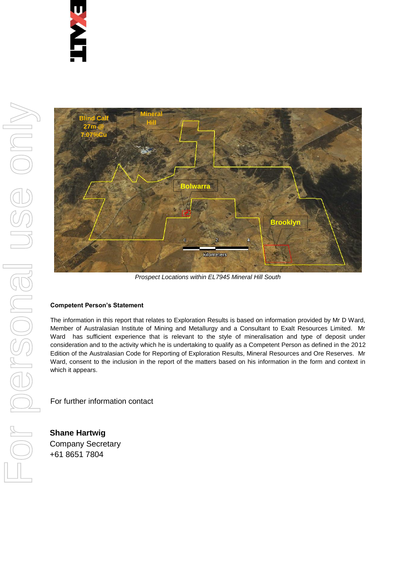

*Prospect Locations within EL7945 Mineral Hill South*

### **Competent Person's Statement**

The information in this report that relates to Exploration Results is based on information provided by Mr D Ward, Member of Australasian Institute of Mining and Metallurgy and a Consultant to Exalt Resources Limited. Mr Ward has sufficient experience that is relevant to the style of mineralisation and type of deposit under consideration and to the activity which he is undertaking to qualify as a Competent Person as defined in the 2012 Edition of the Australasian Code for Reporting of Exploration Results, Mineral Resources and Ore Reserves. Mr Ward, consent to the inclusion in the report of the matters based on his information in the form and context in which it appears.

For further information contact

**Shane Hartwig** Company Secretary +61 8651 7804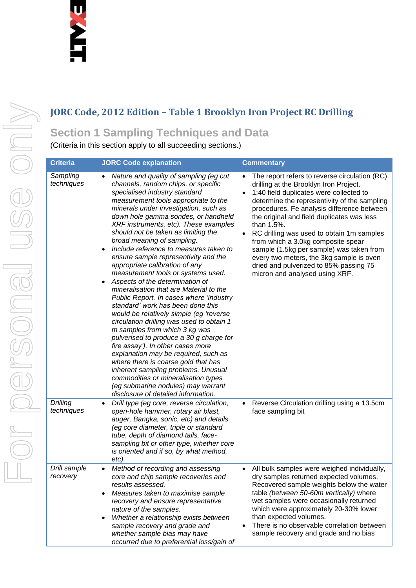# For personal use only USG ONN

## **JORC Code, 2012 Edition – Table 1 Brooklyn Iron Project RC Drilling**

## **Section 1 Sampling Techniques and Data**

(Criteria in this section apply to all succeeding sections.)

| <b>Criteria</b>          | <b>JORC Code explanation</b>                                                                                                                                                                                                                                                                                                                                                                                                                                                                                                                                                                                                                                                                                                                                                                                                                                                                                                                                                                                                                                                                                                                              | <b>Commentary</b>                                                                                                                                                                                                                                                                                                                                                                                                                                                                                                                                   |
|--------------------------|-----------------------------------------------------------------------------------------------------------------------------------------------------------------------------------------------------------------------------------------------------------------------------------------------------------------------------------------------------------------------------------------------------------------------------------------------------------------------------------------------------------------------------------------------------------------------------------------------------------------------------------------------------------------------------------------------------------------------------------------------------------------------------------------------------------------------------------------------------------------------------------------------------------------------------------------------------------------------------------------------------------------------------------------------------------------------------------------------------------------------------------------------------------|-----------------------------------------------------------------------------------------------------------------------------------------------------------------------------------------------------------------------------------------------------------------------------------------------------------------------------------------------------------------------------------------------------------------------------------------------------------------------------------------------------------------------------------------------------|
| Sampling<br>techniques   | Nature and quality of sampling (eg cut<br>channels, random chips, or specific<br>specialised industry standard<br>measurement tools appropriate to the<br>minerals under investigation, such as<br>down hole gamma sondes, or handheld<br>XRF instruments, etc). These examples<br>should not be taken as limiting the<br>broad meaning of sampling.<br>Include reference to measures taken to<br>$\bullet$<br>ensure sample representivity and the<br>appropriate calibration of any<br>measurement tools or systems used.<br>Aspects of the determination of<br>$\bullet$<br>mineralisation that are Material to the<br>Public Report. In cases where 'industry<br>standard' work has been done this<br>would be relatively simple (eg 'reverse<br>circulation drilling was used to obtain 1<br>m samples from which 3 kg was<br>pulverised to produce a 30 g charge for<br>fire assay'). In other cases more<br>explanation may be required, such as<br>where there is coarse gold that has<br>inherent sampling problems. Unusual<br>commodities or mineralisation types<br>(eg submarine nodules) may warrant<br>disclosure of detailed information. | The report refers to reverse circulation (RC)<br>drilling at the Brooklyn Iron Project.<br>1:40 field duplicates were collected to<br>determine the representivity of the sampling<br>procedures, Fe analysis difference between<br>the original and field duplicates was less<br>than 1.5%.<br>RC drilling was used to obtain 1m samples<br>from which a 3.0kg composite spear<br>sample (1.5kg per sample) was taken from<br>every two meters, the 3kg sample is oven<br>dried and pulverized to 85% passing 75<br>micron and analysed using XRF. |
| Drilling<br>techniques   | Drill type (eg core, reverse circulation,<br>$\bullet$<br>open-hole hammer, rotary air blast,<br>auger, Bangka, sonic, etc) and details<br>(eg core diameter, triple or standard<br>tube, depth of diamond tails, face-<br>sampling bit or other type, whether core<br>is oriented and if so, by what method,<br>etc).                                                                                                                                                                                                                                                                                                                                                                                                                                                                                                                                                                                                                                                                                                                                                                                                                                    | Reverse Circulation drilling using a 13.5cm<br>$\bullet$<br>face sampling bit                                                                                                                                                                                                                                                                                                                                                                                                                                                                       |
| Drill sample<br>recovery | Method of recording and assessing<br>core and chip sample recoveries and<br>results assessed.<br>Measures taken to maximise sample<br>$\bullet$<br>recovery and ensure representative<br>nature of the samples.<br>Whether a relationship exists between<br>$\bullet$<br>sample recovery and grade and<br>whether sample bias may have<br>occurred due to preferential loss/gain of                                                                                                                                                                                                                                                                                                                                                                                                                                                                                                                                                                                                                                                                                                                                                                       | All bulk samples were weighed individually,<br>$\bullet$<br>dry samples returned expected volumes.<br>Recovered sample weights below the water<br>table (between 50-60m vertically) where<br>wet samples were occasionally returned<br>which were approximately 20-30% lower<br>than expected volumes.<br>There is no observable correlation between<br>sample recovery and grade and no bias                                                                                                                                                       |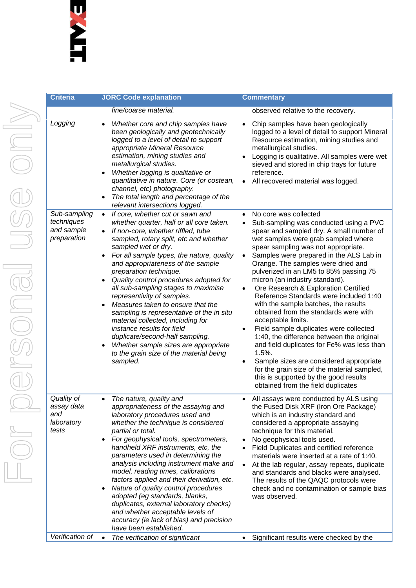| <b>Criteria</b>                                         |                                                                            | <b>JORC Code explanation</b>                                                                                                                                                                                                                                                                                                                                                                                                                                                                                                                                                                                                                                                                          |                                     | <b>Commentary</b>                                                                                                                                                                                                                                                                                                                                                                                                                                                                                                                                                                                                                                                                                                                                                                                                                                                      |
|---------------------------------------------------------|----------------------------------------------------------------------------|-------------------------------------------------------------------------------------------------------------------------------------------------------------------------------------------------------------------------------------------------------------------------------------------------------------------------------------------------------------------------------------------------------------------------------------------------------------------------------------------------------------------------------------------------------------------------------------------------------------------------------------------------------------------------------------------------------|-------------------------------------|------------------------------------------------------------------------------------------------------------------------------------------------------------------------------------------------------------------------------------------------------------------------------------------------------------------------------------------------------------------------------------------------------------------------------------------------------------------------------------------------------------------------------------------------------------------------------------------------------------------------------------------------------------------------------------------------------------------------------------------------------------------------------------------------------------------------------------------------------------------------|
|                                                         |                                                                            | fine/coarse material.                                                                                                                                                                                                                                                                                                                                                                                                                                                                                                                                                                                                                                                                                 |                                     | observed relative to the recovery.                                                                                                                                                                                                                                                                                                                                                                                                                                                                                                                                                                                                                                                                                                                                                                                                                                     |
| Logging                                                 | $\bullet$<br>$\bullet$                                                     | Whether core and chip samples have<br>been geologically and geotechnically<br>logged to a level of detail to support<br>appropriate Mineral Resource<br>estimation, mining studies and<br>metallurgical studies.<br>Whether logging is qualitative or<br>quantitative in nature. Core (or costean,<br>channel, etc) photography.<br>The total length and percentage of the<br>relevant intersections logged.                                                                                                                                                                                                                                                                                          | $\bullet$                           | Chip samples have been geologically<br>logged to a level of detail to support Mineral<br>Resource estimation, mining studies and<br>metallurgical studies.<br>Logging is qualitative. All samples were wet<br>sieved and stored in chip trays for future<br>reference.<br>All recovered material was logged.                                                                                                                                                                                                                                                                                                                                                                                                                                                                                                                                                           |
| Sub-sampling<br>techniques<br>and sample<br>preparation | $\bullet$<br>$\bullet$<br>$\bullet$<br>$\bullet$<br>$\bullet$<br>$\bullet$ | If core, whether cut or sawn and<br>whether quarter, half or all core taken.<br>If non-core, whether riffled, tube<br>sampled, rotary split, etc and whether<br>sampled wet or dry.<br>For all sample types, the nature, quality<br>and appropriateness of the sample<br>preparation technique.<br>Quality control procedures adopted for<br>all sub-sampling stages to maximise<br>representivity of samples.<br>Measures taken to ensure that the<br>sampling is representative of the in situ<br>material collected, including for<br>instance results for field<br>duplicate/second-half sampling.<br>Whether sample sizes are appropriate<br>to the grain size of the material being<br>sampled. | $\bullet$<br>$\bullet$              | No core was collected<br>Sub-sampling was conducted using a PVC<br>spear and sampled dry. A small number of<br>wet samples were grab sampled where<br>spear sampling was not appropriate.<br>Samples were prepared in the ALS Lab in<br>Orange. The samples were dried and<br>pulverized in an LM5 to 85% passing 75<br>micron (an industry standard).<br>Ore Research & Exploration Certified<br>Reference Standards were included 1:40<br>with the sample batches, the results<br>obtained from the standards were with<br>acceptable limits.<br>Field sample duplicates were collected<br>1:40, the difference between the original<br>and field duplicates for Fe% was less than<br>1.5%.<br>Sample sizes are considered appropriate<br>for the grain size of the material sampled,<br>this is supported by the good results<br>obtained from the field duplicates |
| Quality of<br>assay data<br>and<br>laboratory<br>tests  | $\bullet$<br>$\bullet$<br>$\bullet$                                        | The nature, quality and<br>appropriateness of the assaying and<br>laboratory procedures used and<br>whether the technique is considered<br>partial or total.<br>For geophysical tools, spectrometers,<br>handheld XRF instruments, etc, the<br>parameters used in determining the<br>analysis including instrument make and<br>model, reading times, calibrations<br>factors applied and their derivation, etc.<br>Nature of quality control procedures<br>adopted (eg standards, blanks,<br>duplicates, external laboratory checks)<br>and whether acceptable levels of<br>accuracy (ie lack of bias) and precision<br>have been established.                                                        | $\bullet$<br>$\bullet$<br>$\bullet$ | All assays were conducted by ALS using<br>the Fused Disk XRF (Iron Ore Package)<br>which is an industry standard and<br>considered a appropriate assaying<br>technique for this material.<br>No geophysical tools used.<br>Field Duplicates and certified reference<br>materials were inserted at a rate of 1:40.<br>At the lab regular, assay repeats, duplicate<br>and standards and blacks were analysed.<br>The results of the QAQC protocols were<br>check and no contamination or sample bias<br>was observed.                                                                                                                                                                                                                                                                                                                                                   |
| Verification of                                         | $\bullet$                                                                  | The verification of significant                                                                                                                                                                                                                                                                                                                                                                                                                                                                                                                                                                                                                                                                       |                                     | Significant results were checked by the                                                                                                                                                                                                                                                                                                                                                                                                                                                                                                                                                                                                                                                                                                                                                                                                                                |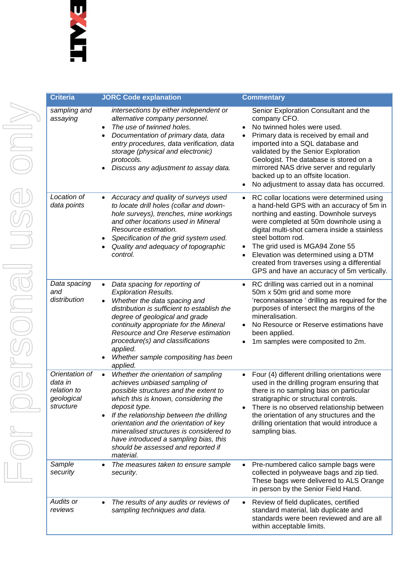| <b>Criteria</b>                                                     | <b>JORC Code explanation</b>                                                                                                                                                                                                                                                                                                                                                                                     | <b>Commentary</b>                                                                                                                                                                                                                                                                                                                                                                                                                   |
|---------------------------------------------------------------------|------------------------------------------------------------------------------------------------------------------------------------------------------------------------------------------------------------------------------------------------------------------------------------------------------------------------------------------------------------------------------------------------------------------|-------------------------------------------------------------------------------------------------------------------------------------------------------------------------------------------------------------------------------------------------------------------------------------------------------------------------------------------------------------------------------------------------------------------------------------|
| sampling and<br>assaying                                            | intersections by either independent or<br>alternative company personnel.<br>The use of twinned holes.<br>$\bullet$<br>Documentation of primary data, data<br>$\bullet$<br>entry procedures, data verification, data<br>storage (physical and electronic)<br>protocols.<br>Discuss any adjustment to assay data.                                                                                                  | Senior Exploration Consultant and the<br>company CFO.<br>No twinned holes were used.<br>Primary data is received by email and<br>imported into a SQL database and<br>validated by the Senior Exploration<br>Geologist. The database is stored on a<br>mirrored NAS drive server and regularly<br>backed up to an offsite location.<br>No adjustment to assay data has occurred.<br>$\bullet$                                        |
| Location of<br>data points                                          | Accuracy and quality of surveys used<br>$\bullet$<br>to locate drill holes (collar and down-<br>hole surveys), trenches, mine workings<br>and other locations used in Mineral<br>Resource estimation.<br>Specification of the grid system used.<br>$\bullet$<br>Quality and adequacy of topographic<br>control.                                                                                                  | RC collar locations were determined using<br>$\bullet$<br>a hand-held GPS with an accuracy of 5m in<br>northing and easting. Downhole surveys<br>were completed at 50m downhole using a<br>digital multi-shot camera inside a stainless<br>steel bottom rod.<br>The grid used is MGA94 Zone 55<br>Elevation was determined using a DTM<br>created from traverses using a differential<br>GPS and have an accuracy of 5m vertically. |
| Data spacing<br>and<br>distribution                                 | Data spacing for reporting of<br>$\bullet$<br><b>Exploration Results.</b><br>Whether the data spacing and<br>$\bullet$<br>distribution is sufficient to establish the<br>degree of geological and grade<br>continuity appropriate for the Mineral<br>Resource and Ore Reserve estimation<br>procedure(s) and classifications<br>applied.<br>Whether sample compositing has been<br>applied.                      | RC drilling was carried out in a nominal<br>$\bullet$<br>50m x 50m grid and some more<br>'reconnaissance ' drilling as required for the<br>purposes of intersect the margins of the<br>mineralisation.<br>No Resource or Reserve estimations have<br>been applied.<br>1m samples were composited to 2m.                                                                                                                             |
| Orientation of<br>data in<br>relation to<br>geological<br>structure | Whether the orientation of sampling<br>$\bullet$<br>achieves unbiased sampling of<br>possible structures and the extent to<br>which this is known, considering the<br>deposit type.<br>If the relationship between the drilling<br>orientation and the orientation of key<br>mineralised structures is considered to<br>have introduced a sampling bias, this<br>should be assessed and reported if<br>material. | Four (4) different drilling orientations were<br>used in the drilling program ensuring that<br>there is no sampling bias on particular<br>stratigraphic or structural controls.<br>There is no observed relationship between<br>the orientation of any structures and the<br>drilling orientation that would introduce a<br>sampling bias.                                                                                          |
| Sample<br>security                                                  | The measures taken to ensure sample<br>$\bullet$<br>security.                                                                                                                                                                                                                                                                                                                                                    | Pre-numbered calico sample bags were<br>٠<br>collected in polyweave bags and zip tied.<br>These bags were delivered to ALS Orange<br>in person by the Senior Field Hand.                                                                                                                                                                                                                                                            |
| Audits or<br>reviews                                                | The results of any audits or reviews of<br>$\bullet$<br>sampling techniques and data.                                                                                                                                                                                                                                                                                                                            | Review of field duplicates, certified<br>standard material, lab duplicate and<br>standards were been reviewed and are all<br>within acceptable limits.                                                                                                                                                                                                                                                                              |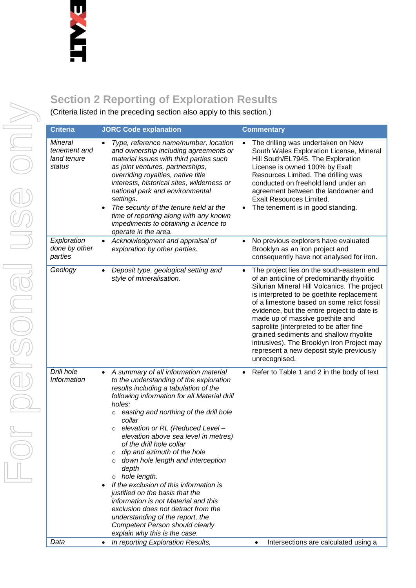## **Section 2 Reporting of Exploration Results**

(Criteria listed in the preceding section also apply to this section.)

| <b>Criteria</b>                                         |           | <b>JORC Code explanation</b>                                                                                                                                                                                                                                                                                                                                                                                                                                                                                                                                                                                                                                                                                                                |           | <b>Commentary</b>                                                                                                                                                                                                                                                                                                                                                                                                                                                                                                    |
|---------------------------------------------------------|-----------|---------------------------------------------------------------------------------------------------------------------------------------------------------------------------------------------------------------------------------------------------------------------------------------------------------------------------------------------------------------------------------------------------------------------------------------------------------------------------------------------------------------------------------------------------------------------------------------------------------------------------------------------------------------------------------------------------------------------------------------------|-----------|----------------------------------------------------------------------------------------------------------------------------------------------------------------------------------------------------------------------------------------------------------------------------------------------------------------------------------------------------------------------------------------------------------------------------------------------------------------------------------------------------------------------|
| <b>Mineral</b><br>tenement and<br>land tenure<br>status |           | Type, reference name/number, location<br>and ownership including agreements or<br>material issues with third parties such<br>as joint ventures, partnerships,<br>overriding royalties, native title<br>interests, historical sites, wilderness or<br>national park and environmental<br>settings.<br>The security of the tenure held at the<br>time of reporting along with any known<br>impediments to obtaining a licence to<br>operate in the area.                                                                                                                                                                                                                                                                                      |           | The drilling was undertaken on New<br>South Wales Exploration License, Mineral<br>Hill South/EL7945. The Exploration<br>License is owned 100% by Exalt<br>Resources Limited. The drilling was<br>conducted on freehold land under an<br>agreement between the landowner and<br><b>Exalt Resources Limited.</b><br>The tenement is in good standing.                                                                                                                                                                  |
| Exploration<br>done by other<br>parties                 |           | Acknowledgment and appraisal of<br>exploration by other parties.                                                                                                                                                                                                                                                                                                                                                                                                                                                                                                                                                                                                                                                                            |           | No previous explorers have evaluated<br>Brooklyn as an iron project and<br>consequently have not analysed for iron.                                                                                                                                                                                                                                                                                                                                                                                                  |
| Geology                                                 |           | Deposit type, geological setting and<br>style of mineralisation.                                                                                                                                                                                                                                                                                                                                                                                                                                                                                                                                                                                                                                                                            |           | The project lies on the south-eastern end<br>of an anticline of predominantly rhyolitic<br>Silurian Mineral Hill Volcanics. The project<br>is interpreted to be goethite replacement<br>of a limestone based on some relict fossil<br>evidence, but the entire project to date is<br>made up of massive goethite and<br>saprolite (interpreted to be after fine<br>grained sediments and shallow rhyolite<br>intrusives). The Brooklyn Iron Project may<br>represent a new deposit style previously<br>unrecognised. |
| Drill hole<br><b>Information</b>                        | $\bullet$ | A summary of all information material<br>to the understanding of the exploration<br>results including a tabulation of the<br>following information for all Material drill<br>holes:<br>easting and northing of the drill hole<br>$\circ$<br>collar<br>elevation or RL (Reduced Level -<br>elevation above sea level in metres)<br>of the drill hole collar<br>dip and azimuth of the hole<br>down hole length and interception<br>depth<br>$\circ$ hole length.<br>If the exclusion of this information is<br>justified on the basis that the<br>information is not Material and this<br>exclusion does not detract from the<br>understanding of the report, the<br><b>Competent Person should clearly</b><br>explain why this is the case. | $\bullet$ | Refer to Table 1 and 2 in the body of text                                                                                                                                                                                                                                                                                                                                                                                                                                                                           |
| Data                                                    |           | In reporting Exploration Results,                                                                                                                                                                                                                                                                                                                                                                                                                                                                                                                                                                                                                                                                                                           |           | Intersections are calculated using a<br>$\bullet$                                                                                                                                                                                                                                                                                                                                                                                                                                                                    |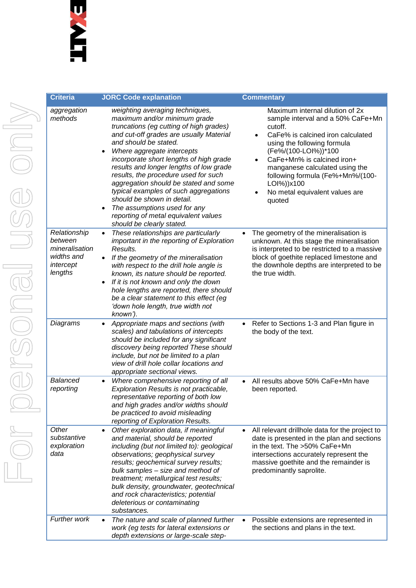| <b>Criteria</b>                                                                 | <b>JORC Code explanation</b>                                                                                                                                                                                                                                                                                                                                                                                                                                                                                                                                         | <b>Commentary</b>                                                                                                                                                                                                                                                                                                                                                   |
|---------------------------------------------------------------------------------|----------------------------------------------------------------------------------------------------------------------------------------------------------------------------------------------------------------------------------------------------------------------------------------------------------------------------------------------------------------------------------------------------------------------------------------------------------------------------------------------------------------------------------------------------------------------|---------------------------------------------------------------------------------------------------------------------------------------------------------------------------------------------------------------------------------------------------------------------------------------------------------------------------------------------------------------------|
| aggregation<br>methods                                                          | weighting averaging techniques,<br>maximum and/or minimum grade<br>truncations (eg cutting of high grades)<br>and cut-off grades are usually Material<br>and should be stated.<br>Where aggregate intercepts<br>٠<br>incorporate short lengths of high grade<br>results and longer lengths of low grade<br>results, the procedure used for such<br>aggregation should be stated and some<br>typical examples of such aggregations<br>should be shown in detail.<br>The assumptions used for any<br>reporting of metal equivalent values<br>should be clearly stated. | Maximum internal dilution of 2x<br>sample interval and a 50% CaFe+Mn<br>cutoff.<br>CaFe% is calcined iron calculated<br>$\bullet$<br>using the following formula<br>(Fe%/(100-LOI%))*100<br>CaFe+Mn% is calcined iron+<br>$\bullet$<br>manganese calculated using the<br>following formula (Fe%+Mn%/(100-<br>LOI%))x100<br>No metal equivalent values are<br>quoted |
| Relationship<br>between<br>mineralisation<br>widths and<br>intercept<br>lengths | These relationships are particularly<br>$\bullet$<br>important in the reporting of Exploration<br>Results.<br>If the geometry of the mineralisation<br>with respect to the drill hole angle is<br>known, its nature should be reported.<br>If it is not known and only the down<br>hole lengths are reported, there should<br>be a clear statement to this effect (eg<br>'down hole length, true width not<br>known').                                                                                                                                               | The geometry of the mineralisation is<br>unknown. At this stage the mineralisation<br>is interpreted to be restricted to a massive<br>block of goethite replaced limestone and<br>the downhole depths are interpreted to be<br>the true width.                                                                                                                      |
| Diagrams                                                                        | Appropriate maps and sections (with<br>$\bullet$<br>scales) and tabulations of intercepts<br>should be included for any significant<br>discovery being reported These should<br>include, but not be limited to a plan<br>view of drill hole collar locations and<br>appropriate sectional views.                                                                                                                                                                                                                                                                     | Refer to Sections 1-3 and Plan figure in<br>$\bullet$<br>the body of the text.                                                                                                                                                                                                                                                                                      |
| <b>Balanced</b><br>reporting                                                    | Where comprehensive reporting of all<br>$\bullet$<br>Exploration Results is not practicable,<br>representative reporting of both low<br>and high grades and/or widths should<br>be practiced to avoid misleading<br>reporting of Exploration Results.                                                                                                                                                                                                                                                                                                                | All results above 50% CaFe+Mn have<br>been reported.                                                                                                                                                                                                                                                                                                                |
| Other<br>substantive<br>exploration<br>data                                     | Other exploration data, if meaningful<br>٠<br>and material, should be reported<br>including (but not limited to): geological<br>observations; geophysical survey<br>results; geochemical survey results;<br>bulk samples - size and method of<br>treatment; metallurgical test results;<br>bulk density, groundwater, geotechnical<br>and rock characteristics; potential<br>deleterious or contaminating<br>substances.                                                                                                                                             | All relevant drillhole data for the project to<br>date is presented in the plan and sections<br>in the text. The >50% CaFe+Mn<br>intersections accurately represent the<br>massive goethite and the remainder is<br>predominantly saprolite.                                                                                                                        |
| Further work                                                                    | The nature and scale of planned further<br>$\bullet$<br>work (eg tests for lateral extensions or<br>depth extensions or large-scale step-                                                                                                                                                                                                                                                                                                                                                                                                                            | Possible extensions are represented in<br>the sections and plans in the text.                                                                                                                                                                                                                                                                                       |